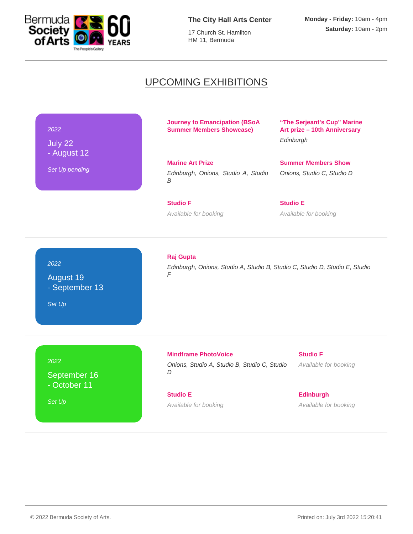

**The City Hall Arts Center**

17 Church St. Hamilton HM 11, Bermuda

# UPCOMING EXHIBITIONS

## 2022

July 22 - August 12

Set Up pending

**Journey to Emancipation (BSoA Summer Members Showcase)** 

**Marine Art Prize** Edinburgh, Onions, Studio A, Studio B

**Studio F** Available for booking **"The Serjeant's Cup" Marine Art prize – 10th Anniversary Edinburgh** 

**Summer Members Show** Onions, Studio C, Studio D

**Studio E** Available for booking

# 2022

August 19 - September 13

Set Up

## **Raj Gupta**

Edinburgh, Onions, Studio A, Studio B, Studio C, Studio D, Studio E, Studio F

2022

September 16 - October 11

Set Up

**Mindframe PhotoVoice** Onions, Studio A, Studio B, Studio C, Studio D

**Studio E** Available for booking **Studio F** Available for booking

**Edinburgh** Available for booking